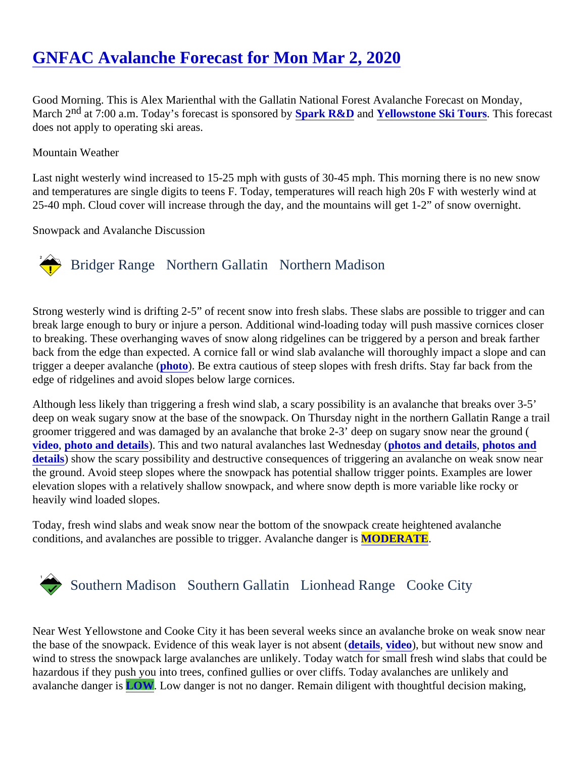Good Morning. This is Alex Marienthal with the Gallatin National Forest Avalanche Forecast on Monday, March 2<sup>nd</sup> at 7:00 a.m. Today's forecast is sponsore **Spark R&D** and Yellowstone Ski Tours This forecast does not apply to operating ski areas.

## Mountain Weather

Last night westerly wind increased to 15-25 mph with gusts of 30-45 mph. This morning there is no new snow and temperatures are single digits to teens F. Today, temperatures will reach high 20s F with westerly wind a 25-40 mph. Cloud cover will increase through the day, and the mountains will get 1-2" of snow overnight.

Snowpack and Avalanche Discussion

# Bridger Range Northern Gallatin Northern Madison

Strong westerly wind is drifting 2-5" of recent snow into fresh slabs. These slabs are possible to trigger and ca break large enough to bury or injure a person. Additional wind-loading today will push massive cornices close to breaking. These overhanging waves of snow along ridgelines can be triggered by a person and break farth back from the edge than expected. A cornice fall or wind slab avalanche will thoroughly impact a slope and ca trigger a deeper avalanche ( [photo\)](https://www.mtavalanche.com/images/20/hourglass-chute-crown). Be extra cautious of steep slopes with fresh drifts. Stay far back from the edge of ridgelines and avoid slopes below large cornices.

Although less likely than triggering a fresh wind slab, a scary possibility is an avalanche that breaks over 3-5' deep on weak sugary snow at the base of the snowpack. On Thursday night in the northern Gallatin Range a groomer triggered and was damaged by an avalanche that broke 2-3' deep on sugary snow near the ground [video](https://www.youtube.com/watch?v=mpWviZprZZM&feature=emb_logo), [photo and details](https://www.mtavalanche.com/node/22269)). This and two natural avalanches last Wednesday to and details [photos and](https://www.mtavalanche.com/node/22293) [details](https://www.mtavalanche.com/node/22293)) show the scary possibility and destructive consequences of triggering an avalanche on weak snow near the ground. Avoid steep slopes where the snowpack has potential shallow trigger points. Examples are lower elevation slopes with a relatively shallow snowpack, and where snow depth is more variable like rocky or heavily wind loaded slopes.

Today, fresh wind slabs and weak snow near the bottom of the snowpack create heightened avalanche conditions, and avalanches are possible to trigger. Avalanche da**MODERATE**.

# Southern MadisonSouthern Gallatin Lionhead RangeCooke City

Near West Yellowstone and Cooke City it has been several weeks since an avalanche broke on weak snow r the base of the snowpack. Evidence of this weak layer is not absents (video), but without new snow and wind to stress the snowpack large avalanches are unlikely. Today watch for small fresh wind slabs that could hazardous if they push you into trees, confined gullies or over cliffs. Today avalanches are unlikely and avalanche danger LOW. Low danger is not no danger. Remain diligent with thoughtful decision making,